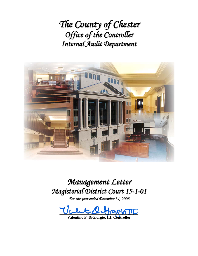*The County of Chester Office of the Controller Internal Audit Department*



*Management Letter Magisterial District Court 15-1-01*

*For the year ended December 31, 2008*

 $\mathcal{U}_c$  et  $\mathcal{A}_c$ 

**Valentino F. DiGiorgio, III, Controller**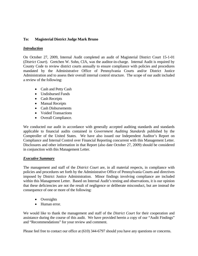## **To: Magisterial District Judge Mark Bruno**

### *Introduction*

On October 27, 2009, Internal Audit completed an audit of Magisterial District Court 15-1-01 (*District Court*). Gretchen W. Sohn, CIA, was the auditor-in-charge. Internal Audit is required by County Code to review district courts annually to ensure compliance with policies and procedures mandated by the Administrative Office of Pennsylvania Courts and/or District Justice Administration and to assess their overall internal control structure. The scope of our audit included a review of the following:

- Cash and Petty Cash
- Undisbursed Funds
- Cash Receipts
- Manual Receipts
- Cash Disbursements
- Voided Transactions
- Overall Compliance.

We conducted our audit in accordance with generally accepted auditing standards and standards applicable to financial audits contained in *Government Auditing Standards* published by the Comptroller of the United States. We have also issued our Independent Auditor's Report on Compliance and Internal Control over Financial Reporting concurrent with this Management Letter. Disclosures and other information in that Report (also date October 27, 2009) should be considered in conjunction with this Management Letter.

### *Executive Summary*

The management and staff of the *District Court* are, in all material respects, in compliance with policies and procedures set forth by the Administrative Office of Pennsylvania Courts and directives imposed by District Justice Administration. Minor findings involving compliance are included within this Management Letter. Based on Internal Audit's testing and observations, it is our opinion that these deficiencies are not the result of negligence or deliberate misconduct, but are instead the consequence of one or more of the following:

- Oversights
- Human error.

We would like to thank the management and staff of the *District Court* for their cooperation and assistance during the course of this audit. We have provided herein a copy of our "Audit Findings" and "Recommendations" for your review and comment.

Please feel free to contact our office at (610) 344-6797 should you have any questions or concerns.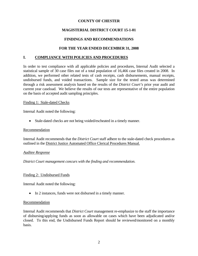## **MAGISTERIAL DISTRICT COURT 15-1-01**

## **FINDINGS AND RECOMMENDATIONS**

## **FOR THE YEAR ENDED DECEMBER 31, 2008**

### **I. COMPLIANCE WITH POLICIES AND PROCEDURES**

In order to test compliance with all applicable policies and procedures, Internal Audit selected a statistical sample of 30 case files out of a total population of 16,466 case files created in 2008. In addition, we performed other related tests of cash receipts, cash disbursements, manual receipts, undisbursed funds, and voided transactions. Sample size for the tested areas was determined through a risk assessment analysis based on the results of the *District Court's* prior year audit and current year caseload. We believe the results of our tests are representative of the entire population on the basis of accepted audit sampling principles.

### Finding 1: Stale-dated Checks

Internal Audit noted the following:

Stale-dated checks are not being voided/escheated in a timely manner.

### Recommendation

Internal Audit recommends that the *District Court* staff adhere to the stale-dated check procedures as outlined in the District Justice Automated Office Clerical Procedures Manual.

### *Auditee Response*

*District Court management concurs with the finding and recommendation.* 

### Finding 2: Undisbursed Funds

Internal Audit noted the following:

• In 2 instances, funds were not disbursed in a timely manner.

#### Recommendation

Internal Audit recommends that *District Court* management re-emphasize to the staff the importance of disbursing/applying funds as soon as allowable on cases which have been adjudicated and/or closed. To this end, the Undisbursed Funds Report should be reviewed/monitored on a monthly basis.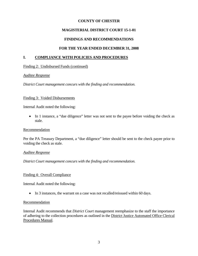## **MAGISTERIAL DISTRICT COURT 15-1-01**

## **FINDINGS AND RECOMMENDATIONS**

## **FOR THE YEAR ENDED DECEMBER 31, 2008**

### **I. COMPLIANCE WITH POLICIES AND PROCEDURES**

Finding 2: Undisbursed Funds (continued)

### *Auditee Response*

*District Court management concurs with the finding and recommendation.* 

### Finding 3: Voided Disbursements

Internal Audit noted the following:

 In 1 instance, a "due diligence" letter was not sent to the payee before voiding the check as stale.

### Recommendation

Per the PA Treasury Department, a "due diligence" letter should be sent to the check payee prior to voiding the check as stale.

### *Auditee Response*

*District Court management concurs with the finding and recommendation.* 

### Finding 4: Overall Compliance

Internal Audit noted the following:

• In 3 instances, the warrant on a case was not recalled/reissued within 60 days.

### Recommendation

Internal Audit recommends that *District Court* management reemphasize to the staff the importance of adhering to the collection procedures as outlined in the District Justice Automated Office Clerical Procedures Manual.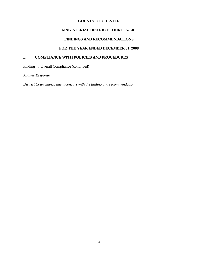# **MAGISTERIAL DISTRICT COURT 15-1-01**

# **FINDINGS AND RECOMMENDATIONS**

# **FOR THE YEAR ENDED DECEMBER 31, 2008**

## **I. COMPLIANCE WITH POLICIES AND PROCEDURES**

Finding 4: Overall Compliance (continued)

*Auditee Response*

*District Court management concurs with the finding and recommendation.*